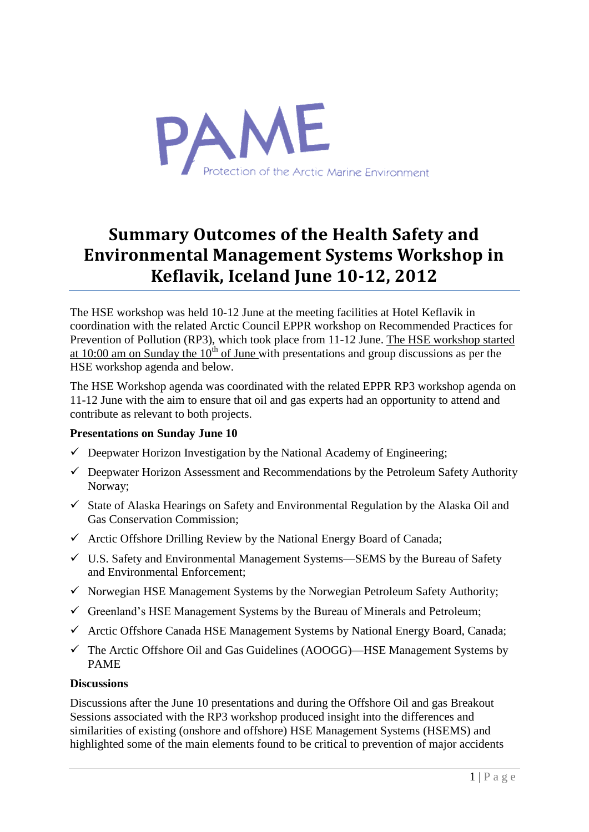

# **Summary Outcomes of the Health Safety and Environmental Management Systems Workshop in Keflavik, Iceland June 10-12, 2012**

The HSE workshop was held 10-12 June at the meeting facilities at Hotel Keflavik in coordination with the related Arctic Council EPPR workshop on Recommended Practices for Prevention of Pollution (RP3), which took place from 11-12 June. The HSE workshop started at 10:00 am on Sunday the  $10<sup>th</sup>$  of June with presentations and group discussions as per the HSE workshop agenda and below.

The HSE Workshop agenda was coordinated with the related EPPR RP3 workshop agenda on 11-12 June with the aim to ensure that oil and gas experts had an opportunity to attend and contribute as relevant to both projects.

#### **Presentations on Sunday June 10**

- $\checkmark$  Deepwater Horizon Investigation by the National Academy of Engineering;
- $\checkmark$  Deepwater Horizon Assessment and Recommendations by the Petroleum Safety Authority Norway;
- $\checkmark$  State of Alaska Hearings on Safety and Environmental Regulation by the Alaska Oil and Gas Conservation Commission;
- $\checkmark$  Arctic Offshore Drilling Review by the National Energy Board of Canada;
- U.S. Safety and Environmental Management Systems—SEMS by the Bureau of Safety and Environmental Enforcement;
- $\checkmark$  Norwegian HSE Management Systems by the Norwegian Petroleum Safety Authority;
- $\checkmark$  Greenland's HSE Management Systems by the Bureau of Minerals and Petroleum;
- $\checkmark$  Arctic Offshore Canada HSE Management Systems by National Energy Board, Canada;
- $\checkmark$  The Arctic Offshore Oil and Gas Guidelines (AOOGG)—HSE Management Systems by PAME

#### **Discussions**

Discussions after the June 10 presentations and during the Offshore Oil and gas Breakout Sessions associated with the RP3 workshop produced insight into the differences and similarities of existing (onshore and offshore) HSE Management Systems (HSEMS) and highlighted some of the main elements found to be critical to prevention of major accidents